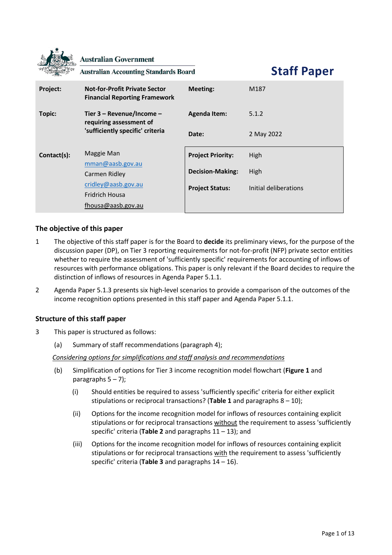**Australian Government** 

**Australian Accounting Standards Board** 

**Staff Paper**

| Project:                         | <b>Not-for-Profit Private Sector</b><br><b>Financial Reporting Framework</b> | <b>Meeting:</b>          | M187                  |
|----------------------------------|------------------------------------------------------------------------------|--------------------------|-----------------------|
| Topic:                           | Tier $3 -$ Revenue/Income $-$<br>requiring assessment of                     | <b>Agenda Item:</b>      | 5.1.2                 |
| 'sufficiently specific' criteria | Date:                                                                        | 2 May 2022               |                       |
| Contact(s):                      | Maggie Man                                                                   | <b>Project Priority:</b> | High                  |
|                                  | mman@aasb.gov.au<br>Carmen Ridley                                            | <b>Decision-Making:</b>  | High                  |
|                                  | cridley@aasb.gov.au<br>Fridrich Housa<br>fhousa@aasb.gov.au                  | <b>Project Status:</b>   | Initial deliberations |

## **The objective of this paper**

- 1 The objective of this staff paper is for the Board to **decide** its preliminary views, for the purpose of the discussion paper (DP), on Tier 3 reporting requirements for not-for-profit (NFP) private sector entities whether to require the assessment of 'sufficiently specific' requirements for accounting of inflows of resources with performance obligations. This paper is only relevant if the Board decides to require the distinction of inflows of resources in Agenda Paper 5.1.1.
- 2 Agenda Paper 5.1.3 presents six high-level scenarios to provide a comparison of the outcomes of the income recognition options presented in this staff paper and Agenda Paper 5.1.1.

# **Structure of this staff paper**

- 3 This paper is structured as follows:
	- (a) Summary of staff recommendations (paragraph [4\)](#page-1-0);

*Considering options for simplifications and staff analysis and recommendations*

- (b) Simplification of options for Tier 3 income recognition model flowchart (**[Figure 1](#page-2-0)** and paragraphs  $5 - 7$ );
	- (i) Should entities be required to assess 'sufficiently specific' criteria for either explicit stipulations or reciprocal transactions? (**[Table 1](#page-4-0)** and paragraphs [8](#page-5-0) – [10\)](#page-5-1);
	- (ii) Options for the income recognition model for inflows of resources containing explicit stipulations or for reciprocal transactions without the requirement to assess 'sufficiently specific' criteria (**[Table 2](#page-6-0)** and paragraphs [11](#page-8-0) – [13\)](#page-9-0); and
	- (iii) Options for the income recognition model for inflows of resources containing explicit stipulations or for reciprocal transactions with the requirement to assess 'sufficiently specific' criteria (**[Table 3](#page-10-0)** and paragraph[s 14](#page-11-0) – [16\)](#page-12-0).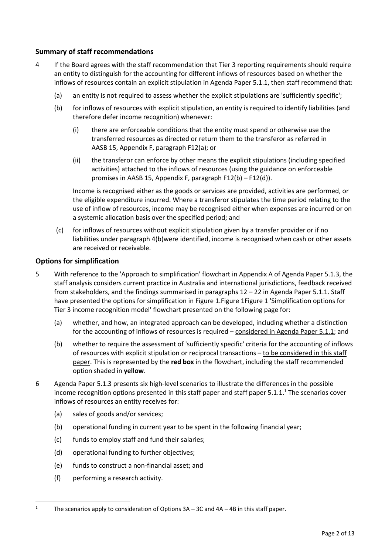# **Summary of staff recommendations**

- <span id="page-1-2"></span><span id="page-1-0"></span>4 If the Board agrees with the staff recommendation that Tier 3 reporting requirements should require an entity to distinguish for the accounting for different inflows of resources based on whether the inflows of resources contain an explicit stipulation in Agenda Paper 5.1.1, then staff recommend that:
	- (a) an entity is not required to assess whether the explicit stipulations are 'sufficiently specific';
	- (b) for inflows of resources with explicit stipulation, an entity is required to identify liabilities (and therefore defer income recognition) whenever:
		- (i) there are enforceable conditions that the entity must spend or otherwise use the transferred resources as directed or return them to the transferor as referred in AASB 15, Appendix F, paragraph F12(a); or
		- (ii) the transferor can enforce by other means the explicit stipulations (including specified activities) attached to the inflows of resources (using the guidance on enforceable promises in AASB 15, Appendix F, paragraph F12(b) – F12(d)).

Income is recognised either as the goods or services are provided, activities are performed, or the eligible expenditure incurred. Where a transferor stipulates the time period relating to the use of inflow of resources, income may be recognised either when expenses are incurred or on a systemic allocation basis over the specified period; and

(c) for inflows of resources without explicit stipulation given by a transfer provider or if no liabilities under paragraph [4\(b\)w](#page-1-2)ere identified, income is recognised when cash or other assets are received or receivable.

# **Options for simplification**

- <span id="page-1-1"></span>5 With reference to the 'Approach to simplification' flowchart in Appendix A of Agenda Paper 5.1.3, the staff analysis considers current practice in Australia and international jurisdictions, feedback received from stakeholders, and the findings summarised in paragraphs 12 – 22 in Agenda Paper 5.1.1. Staff have presented the options for simplification in Figure 1. Figure 1 Figure 1 'Simplification options for Tier 3 income recognition model' flowchart presented on the following page for:
	- (a) whether, and how, an integrated approach can be developed, including whether a distinction for the accounting of inflows of resources is required – considered in Agenda Paper 5.1.1; and
	- (b) whether to require the assessment of 'sufficiently specific' criteria for the accounting of inflows of resources with explicit stipulation or reciprocal transactions – to be considered in this staff paper. This is represented by the **red box** in the flowchart, including the staff recommended option shaded in **yellow**.
- 6 Agenda Paper 5.1.3 presents six high-level scenarios to illustrate the differences in the possible income recognition options presented in this staff paper and staff paper  $5.1.1$ .<sup>1</sup> The scenarios cover inflows of resources an entity receives for:
	- (a) sales of goods and/or services;
	- (b) operational funding in current year to be spent in the following financial year;
	- (c) funds to employ staff and fund their salaries;
	- (d) operational funding to further objectives;
	- (e) funds to construct a non-financial asset; and
	- (f) performing a research activity.

<sup>&</sup>lt;sup>1</sup> The scenarios apply to consideration of Options  $3A - 3C$  and  $4A - 4B$  in this staff paper.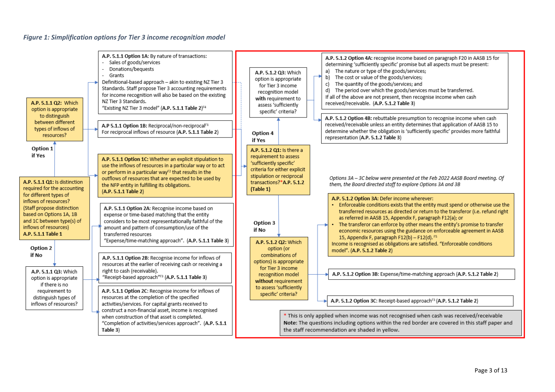#### *Figure 1: Simplification options for Tier 3 income recognition model*

<span id="page-2-0"></span>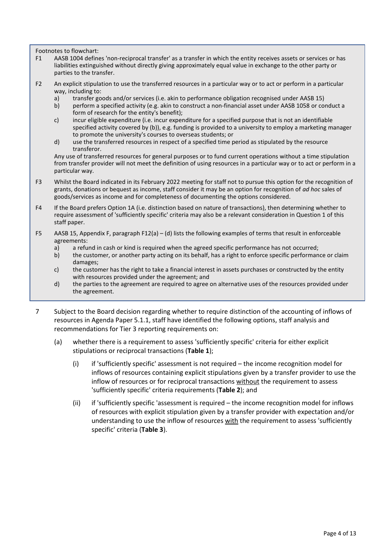Footnotes to flowchart:

- F1 AASB 1004 defines 'non-reciprocal transfer' as a transfer in which the entity receives assets or services or has liabilities extinguished without directly giving approximately equal value in exchange to the other party or parties to the transfer.
- <span id="page-3-1"></span>F2 An explicit stipulation to use the transferred resources in a particular way or to act or perform in a particular way, including to:<br>a) transfer go
	- a) transfer goods and/or services (i.e. akin to performance obligation recognised under AASB 15)
	- b) perform a specified activity (e.g. akin to construct a non-financial asset under AASB 1058 or conduct a form of research for the entity's benefit);
	- c) incur eligible expenditure (i.e. incur expenditure for a specified purpose that is not an identifiable specified activity covered by (b)), e.g. funding is provided to a university to employ a marketing manager to promote the university's courses to overseas students; or
	- d) use the transferred resources in respect of a specified time period as stipulated by the resource transferor.

Any use of transferred resources for general purposes or to fund current operations without a time stipulation from transfer provider will not meet the definition of using resources in a particular way or to act or perform in a particular way.

- F3 Whilst the Board indicated in its February 2022 meeting for staff not to pursue this option for the recognition of grants, donations or bequest as income, staff consider it may be an option for recognition of *ad hoc* sales of goods/services as income and for completeness of documenting the options considered.
- F4 If the Board prefers Option 1A (i.e. distinction based on nature of transactions), then determining whether to require assessment of 'sufficiently specific' criteria may also be a relevant consideration in Question 1 of this staff paper.
- F5 AASB 15, Appendix F, paragraph F12(a) (d) lists the following examples of terms that result in enforceable agreements:
	- a) a refund in cash or kind is required when the agreed specific performance has not occurred;
	- b) the customer, or another party acting on its behalf, has a right to enforce specific performance or claim damages;
	- c) the customer has the right to take a financial interest in assets purchases or constructed by the entity with resources provided under the agreement; and
	- d) the parties to the agreement are required to agree on alternative uses of the resources provided under the agreement.
- <span id="page-3-0"></span>7 Subject to the Board decision regarding whether to require distinction of the accounting of inflows of resources in Agenda Paper 5.1.1, staff have identified the following options, staff analysis and recommendations for Tier 3 reporting requirements on:
	- (a) whether there is a requirement to assess 'sufficiently specific' criteria for either explicit stipulations or reciprocal transactions (**[Table 1](#page-4-0)**);
		- (i) if 'sufficiently specific' assessment is not required the income recognition model for inflows of resources containing explicit stipulations given by a transfer provider to use the inflow of resources or for reciprocal transactions without the requirement to assess 'sufficiently specific' criteria requirements (**[Table 2](#page-6-0)**); and
		- (ii) if 'sufficiently specific 'assessment is required the income recognition model for inflows of resources with explicit stipulation given by a transfer provider with expectation and/or understanding to use the inflow of resources with the requirement to assess 'sufficiently specific' criteria (**[Table 3](#page-10-0)**).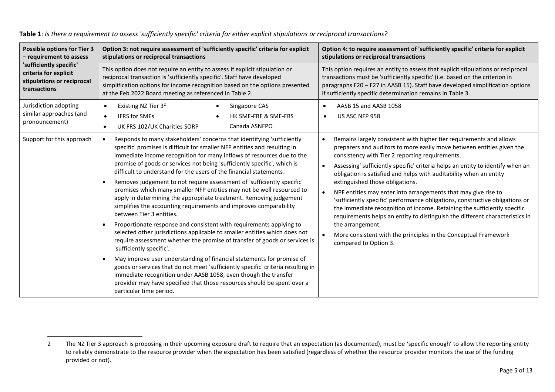<span id="page-4-0"></span>

| <b>Possible options for Tier 3</b>                                 | Option 3: not require assessment of 'sufficiently specific' criteria for explicit                                                                                                                                                                                                                                                                                                                                                                                                                                                                                                                                                                                                                                                                                                                                                                                                                                                                                                                                                                                                                                                                                                                                                                                                                                                       | Option 4: to require assessment of 'sufficiently specific' criteria for explicit                                                                                                                                                                                                                                                                                                                                                                                                                                                                                                                                                                                                                                                                                                                                         |
|--------------------------------------------------------------------|-----------------------------------------------------------------------------------------------------------------------------------------------------------------------------------------------------------------------------------------------------------------------------------------------------------------------------------------------------------------------------------------------------------------------------------------------------------------------------------------------------------------------------------------------------------------------------------------------------------------------------------------------------------------------------------------------------------------------------------------------------------------------------------------------------------------------------------------------------------------------------------------------------------------------------------------------------------------------------------------------------------------------------------------------------------------------------------------------------------------------------------------------------------------------------------------------------------------------------------------------------------------------------------------------------------------------------------------|--------------------------------------------------------------------------------------------------------------------------------------------------------------------------------------------------------------------------------------------------------------------------------------------------------------------------------------------------------------------------------------------------------------------------------------------------------------------------------------------------------------------------------------------------------------------------------------------------------------------------------------------------------------------------------------------------------------------------------------------------------------------------------------------------------------------------|
| - requirement to assess                                            | stipulations or reciprocal transactions                                                                                                                                                                                                                                                                                                                                                                                                                                                                                                                                                                                                                                                                                                                                                                                                                                                                                                                                                                                                                                                                                                                                                                                                                                                                                                 | stipulations or reciprocal transactions                                                                                                                                                                                                                                                                                                                                                                                                                                                                                                                                                                                                                                                                                                                                                                                  |
| 'sufficiently specific'                                            | This option does not require an entity to assess if explicit stipulation or                                                                                                                                                                                                                                                                                                                                                                                                                                                                                                                                                                                                                                                                                                                                                                                                                                                                                                                                                                                                                                                                                                                                                                                                                                                             | This option requires an entity to assess that explicit stipulations or reciprocal                                                                                                                                                                                                                                                                                                                                                                                                                                                                                                                                                                                                                                                                                                                                        |
| criteria for explicit                                              | reciprocal transaction is 'sufficiently specific'. Staff have developed                                                                                                                                                                                                                                                                                                                                                                                                                                                                                                                                                                                                                                                                                                                                                                                                                                                                                                                                                                                                                                                                                                                                                                                                                                                                 | transactions must be 'sufficiently specific' (i.e. based on the criterion in                                                                                                                                                                                                                                                                                                                                                                                                                                                                                                                                                                                                                                                                                                                                             |
| stipulations or reciprocal                                         | simplification options for income recognition based on the options presented                                                                                                                                                                                                                                                                                                                                                                                                                                                                                                                                                                                                                                                                                                                                                                                                                                                                                                                                                                                                                                                                                                                                                                                                                                                            | paragraphs F20 - F27 in AASB 15). Staff have developed simplification options                                                                                                                                                                                                                                                                                                                                                                                                                                                                                                                                                                                                                                                                                                                                            |
| transactions                                                       | at the Feb 2022 Board meeting as referenced in Table 2.                                                                                                                                                                                                                                                                                                                                                                                                                                                                                                                                                                                                                                                                                                                                                                                                                                                                                                                                                                                                                                                                                                                                                                                                                                                                                 | if sufficiently specific determination remains in Table 3.                                                                                                                                                                                                                                                                                                                                                                                                                                                                                                                                                                                                                                                                                                                                                               |
| Jurisdiction adopting<br>similar approaches (and<br>pronouncement) | Existing NZ Tier 3 <sup>2</sup><br>Singapore CAS<br>$\bullet$<br><b>IFRS for SMEs</b><br>HK SME-FRF & SME-FRS<br>$\bullet$<br>Canada ASNFPO<br>UK FRS 102/UK Charities SORP<br>$\bullet$                                                                                                                                                                                                                                                                                                                                                                                                                                                                                                                                                                                                                                                                                                                                                                                                                                                                                                                                                                                                                                                                                                                                                | AASB 15 and AASB 1058<br>US ASC NFP 958<br>$\bullet$                                                                                                                                                                                                                                                                                                                                                                                                                                                                                                                                                                                                                                                                                                                                                                     |
| Support for this approach                                          | Responds to many stakeholders' concerns that identifying 'sufficiently<br>$\bullet$<br>specific' promises is difficult for smaller NFP entities and resulting in<br>immediate income recognition for many inflows of resources due to the<br>promise of goods or services not being 'sufficiently specific', which is<br>difficult to understand for the users of the financial statements.<br>Removes judgement to not require assessment of 'sufficiently specific'<br>promises which many smaller NFP entities may not be well resourced to<br>apply in determining the appropriate treatment. Removing judgement<br>simplifies the accounting requirements and improves comparability<br>between Tier 3 entities.<br>Proportionate response and consistent with requirements applying to<br>$\bullet$<br>selected other jurisdictions applicable to smaller entities which does not<br>require assessment whether the promise of transfer of goods or services is<br>'sufficiently specific'.<br>May improve user understanding of financial statements for promise of<br>goods or services that do not meet 'sufficiently specific' criteria resulting in<br>immediate recognition under AASB 1058, even though the transfer<br>provider may have specified that those resources should be spent over a<br>particular time period. | Remains largely consistent with higher tier requirements and allows<br>preparers and auditors to more easily move between entities given the<br>consistency with Tier 2 reporting requirements.<br>Assessing' sufficiently specific' criteria helps an entity to identify when an<br>obligation is satisfied and helps with auditability when an entity<br>extinguished those obligations.<br>NPF entities may enter into arrangements that may give rise to<br>'sufficiently specific' performance obligations, constructive obligations or<br>the immediate recognition of income. Retaining the sufficiently specific<br>requirements helps an entity to distinguish the different characteristics in<br>the arrangement.<br>More consistent with the principles in the Conceptual Framework<br>compared to Option 3. |

**Table 1**: *Is there a requirement to assess 'sufficiently specific' criteria for either explicit stipulations or reciprocal transactions?* 

<sup>2</sup> The NZ Tier 3 approach is proposing in their upcoming exposure draft to require that an expectation (as documented), must be 'specific enough' to allow the reporting entity to reliably demonstrate to the resource provider when the expectation has been satisfied (regardless of whether the resource provider monitors the use of the funding provided or not).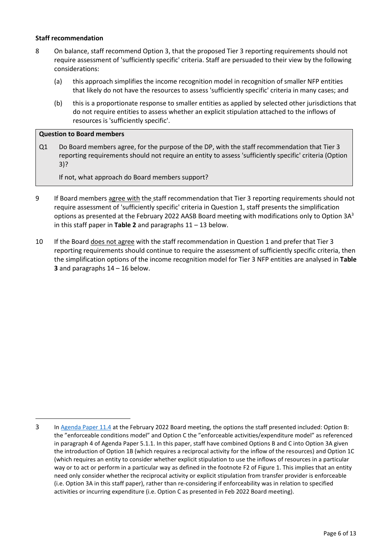### **Staff recommendation**

- <span id="page-5-0"></span>8 On balance, staff recommend Option 3, that the proposed Tier 3 reporting requirements should not require assessment of 'sufficiently specific' criteria. Staff are persuaded to their view by the following considerations:
	- (a) this approach simplifies the income recognition model in recognition of smaller NFP entities that likely do not have the resources to assess 'sufficiently specific' criteria in many cases; and
	- (b) this is a proportionate response to smaller entities as applied by selected other jurisdictions that do not require entities to assess whether an explicit stipulation attached to the inflows of resources is 'sufficiently specific'.

### **Question to Board members**

Q1 Do Board members agree, for the purpose of the DP, with the staff recommendation that Tier 3 reporting requirements should not require an entity to assess 'sufficiently specific' criteria (Option 3)?

If not, what approach do Board members support?

- 9 If Board members agree with the staff recommendation that Tier 3 reporting requirements should not require assessment of 'sufficiently specific' criteria in Question 1, staff presents the simplification options as presented at the February 2022 AASB Board meeting with modifications only to Option  $3A<sup>3</sup>$ in this staff paper in **[Table 2](#page-6-0)** and paragraph[s 11](#page-8-0) – [13](#page-9-0) below.
- <span id="page-5-1"></span>10 If the Board does not agree with the staff recommendation in Question 1 and prefer that Tier 3 reporting requirements should continue to require the assessment of sufficiently specific criteria, then the simplification options of the income recognition model for Tier 3 NFP entities are analysed in **[Table](#page-10-0)  [3](#page-10-0)** and paragraph[s 14](#page-11-0) – [16](#page-12-0) below.

<sup>3</sup> I[n Agenda Paper 11.4](https://www.aasb.gov.au/media/ol4ondoy/11-4-0_sp_tier3revenuegrants_m185_pp.pdf) at the February 2022 Board meeting, the options the staff presented included: Option B: the "enforceable conditions model" and Option C the "enforceable activities/expenditure model" as referenced in paragraph 4 of Agenda Paper 5.1.1. In this paper, staff have combined Options B and C into Option 3A given the introduction of Option 1B (which requires a reciprocal activity for the inflow of the resources) and Option 1C (which requires an entity to consider whether explicit stipulation to use the inflows of resources in a particular way or to act or perform in a particular way as defined in the footnote [F2](#page-3-1) of [Figure 1.](#page-2-0) This implies that an entity need only consider whether the reciprocal activity or explicit stipulation from transfer provider is enforceable (i.e. Option 3A in this staff paper), rather than re-considering if enforceability was in relation to specified activities or incurring expenditure (i.e. Option C as presented in Feb 2022 Board meeting).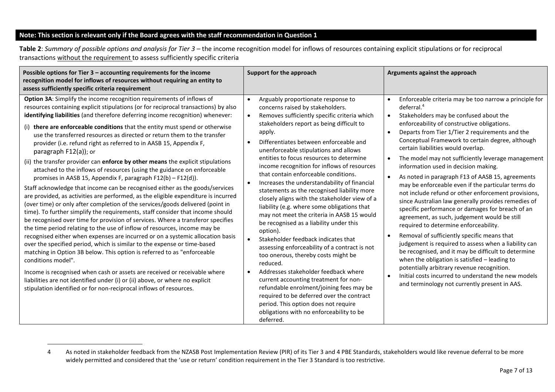# **Note: This section is relevant only if the Board agrees with the staff recommendation in Question 1**

<span id="page-6-1"></span>**Table 2**: *Summary of possible options and analysis for Tier 3 –* the income recognition model for inflows of resources containing explicit stipulations or for reciprocal transactions without the requirement to assess sufficiently specific criteria

<span id="page-6-0"></span>

| Possible options for Tier $3$ – accounting requirements for the income<br>recognition model for inflows of resources without requiring an entity to<br>assess sufficiently specific criteria requirement                                                                                                                                                                                                                                                                                                                                                                                                                                                                                                                                                                                                                                                                                                                                                                                                                                                                                                                                                                                                                                                                                                                                                                                                                                                                                                                                                                                                                                                                                                                                             | Support for the approach                                                                                                                                                                                                                                                                                                                                                                                                                                                                                                                                                                                                                                                                                                                                                                                                                                                                                                                                                                                                                                                                                                                                                          | Arguments against the approach                                                                                                                                                                                                                                                                                                                                                                                                                                                                                                                                                                                                                                                                                                                                                                                                                                                                                                                                                                                                                                                                                                                                                               |
|------------------------------------------------------------------------------------------------------------------------------------------------------------------------------------------------------------------------------------------------------------------------------------------------------------------------------------------------------------------------------------------------------------------------------------------------------------------------------------------------------------------------------------------------------------------------------------------------------------------------------------------------------------------------------------------------------------------------------------------------------------------------------------------------------------------------------------------------------------------------------------------------------------------------------------------------------------------------------------------------------------------------------------------------------------------------------------------------------------------------------------------------------------------------------------------------------------------------------------------------------------------------------------------------------------------------------------------------------------------------------------------------------------------------------------------------------------------------------------------------------------------------------------------------------------------------------------------------------------------------------------------------------------------------------------------------------------------------------------------------------|-----------------------------------------------------------------------------------------------------------------------------------------------------------------------------------------------------------------------------------------------------------------------------------------------------------------------------------------------------------------------------------------------------------------------------------------------------------------------------------------------------------------------------------------------------------------------------------------------------------------------------------------------------------------------------------------------------------------------------------------------------------------------------------------------------------------------------------------------------------------------------------------------------------------------------------------------------------------------------------------------------------------------------------------------------------------------------------------------------------------------------------------------------------------------------------|----------------------------------------------------------------------------------------------------------------------------------------------------------------------------------------------------------------------------------------------------------------------------------------------------------------------------------------------------------------------------------------------------------------------------------------------------------------------------------------------------------------------------------------------------------------------------------------------------------------------------------------------------------------------------------------------------------------------------------------------------------------------------------------------------------------------------------------------------------------------------------------------------------------------------------------------------------------------------------------------------------------------------------------------------------------------------------------------------------------------------------------------------------------------------------------------|
| Option 3A: Simplify the income recognition requirements of inflows of<br>resources containing explicit stipulations (or for reciprocal transactions) by also<br>identifying liabilities (and therefore deferring income recognition) whenever:<br>(i) there are enforceable conditions that the entity must spend or otherwise<br>use the transferred resources as directed or return them to the transfer<br>provider (i.e. refund right as referred to in AASB 15, Appendix F,<br>paragraph F12(a)); or<br>(ii) the transfer provider can enforce by other means the explicit stipulations<br>attached to the inflows of resources (using the guidance on enforceable<br>promises in AASB 15, Appendix F, paragraph F12(b) - F12(d)).<br>Staff acknowledge that income can be recognised either as the goods/services<br>are provided, as activities are performed, as the eligible expenditure is incurred<br>(over time) or only after completion of the services/goods delivered (point in<br>time). To further simplify the requirements, staff consider that income should<br>be recognised over time for provision of services. Where a transferor specifies<br>the time period relating to the use of inflow of resources, income may be<br>recognised either when expenses are incurred or on a systemic allocation basis<br>over the specified period, which is similar to the expense or time-based<br>matching in Option 3B below. This option is referred to as "enforceable"<br>conditions model".<br>Income is recognised when cash or assets are received or receivable where<br>liabilities are not identified under (i) or (ii) above, or where no explicit<br>stipulation identified or for non-reciprocal inflows of resources. | Arguably proportionate response to<br>$\bullet$<br>concerns raised by stakeholders.<br>Removes sufficiently specific criteria which<br>$\bullet$<br>stakeholders report as being difficult to<br>apply.<br>Differentiates between enforceable and<br>unenforceable stipulations and allows<br>entities to focus resources to determine<br>income recognition for inflows of resources<br>that contain enforceable conditions.<br>Increases the understandability of financial<br>$\bullet$<br>statements as the recognised liability more<br>closely aligns with the stakeholder view of a<br>liability (e.g. where some obligations that<br>may not meet the criteria in AASB 15 would<br>be recognised as a liability under this<br>option).<br>Stakeholder feedback indicates that<br>assessing enforceability of a contract is not<br>too onerous, thereby costs might be<br>reduced.<br>Addresses stakeholder feedback where<br>$\bullet$<br>current accounting treatment for non-<br>refundable enrolment/joining fees may be<br>required to be deferred over the contract<br>period. This option does not require<br>obligations with no enforceability to be<br>deferred. | Enforceable criteria may be too narrow a principle for<br>$\bullet$<br>deferral. $4$<br>Stakeholders may be confused about the<br>$\bullet$<br>enforceability of constructive obligations.<br>Departs from Tier 1/Tier 2 requirements and the<br>$\bullet$<br>Conceptual Framework to certain degree, although<br>certain liabilities would overlap.<br>The model may not sufficiently leverage management<br>information used in decision making.<br>As noted in paragraph F13 of AASB 15, agreements<br>may be enforceable even if the particular terms do<br>not include refund or other enforcement provisions,<br>since Australian law generally provides remedies of<br>specific performance or damages for breach of an<br>agreement, as such, judgement would be still<br>required to determine enforceability.<br>Removal of sufficiently specific means that<br>judgement is required to assess when a liability can<br>be recognised, and it may be difficult to determine<br>when the obligation is satisfied - leading to<br>potentially arbitrary revenue recognition.<br>Initial costs incurred to understand the new models<br>and terminology not currently present in AAS. |

<sup>4</sup> As noted in stakeholder feedback from the NZASB Post Implementation Review (PIR) of its Tier 3 and 4 PBE Standards, stakeholders would like revenue deferral to be more widely permitted and considered that the 'use or return' condition requirement in the Tier 3 Standard is too restrictive.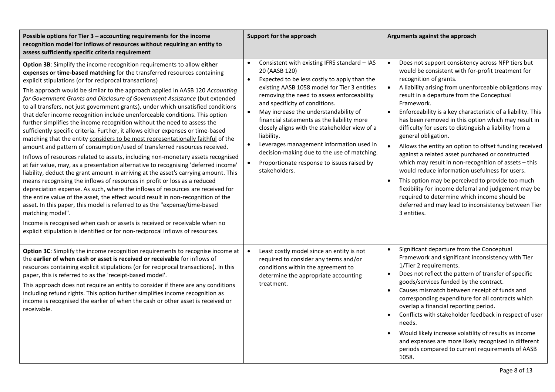| Possible options for Tier 3 - accounting requirements for the income<br>recognition model for inflows of resources without requiring an entity to<br>assess sufficiently specific criteria requirement                                                                                                                                                                                                                                                                                                                                                                                                                                                                                                                                                                                                                                                                                                                                                                                                                                                                                                                                                                                                                                                                                                                                                                                                                                                                                                                                                                                                                                                                   | Support for the approach                                                                                                                                                                                                                                                                                                                                                                                                                                                                                                                                                                                          | Arguments against the approach                                                                                                                                                                                                                                                                                                                                                                                                                                                                                                                                                                                                                                                                                                                                                                                                                                                                                                                                |
|--------------------------------------------------------------------------------------------------------------------------------------------------------------------------------------------------------------------------------------------------------------------------------------------------------------------------------------------------------------------------------------------------------------------------------------------------------------------------------------------------------------------------------------------------------------------------------------------------------------------------------------------------------------------------------------------------------------------------------------------------------------------------------------------------------------------------------------------------------------------------------------------------------------------------------------------------------------------------------------------------------------------------------------------------------------------------------------------------------------------------------------------------------------------------------------------------------------------------------------------------------------------------------------------------------------------------------------------------------------------------------------------------------------------------------------------------------------------------------------------------------------------------------------------------------------------------------------------------------------------------------------------------------------------------|-------------------------------------------------------------------------------------------------------------------------------------------------------------------------------------------------------------------------------------------------------------------------------------------------------------------------------------------------------------------------------------------------------------------------------------------------------------------------------------------------------------------------------------------------------------------------------------------------------------------|---------------------------------------------------------------------------------------------------------------------------------------------------------------------------------------------------------------------------------------------------------------------------------------------------------------------------------------------------------------------------------------------------------------------------------------------------------------------------------------------------------------------------------------------------------------------------------------------------------------------------------------------------------------------------------------------------------------------------------------------------------------------------------------------------------------------------------------------------------------------------------------------------------------------------------------------------------------|
| Option 3B: Simplify the income recognition requirements to allow either<br>expenses or time-based matching for the transferred resources containing<br>explicit stipulations (or for reciprocal transactions)<br>This approach would be similar to the approach applied in AASB 120 Accounting<br>for Government Grants and Disclosure of Government Assistance (but extended<br>to all transfers, not just government grants), under which unsatisfied conditions<br>that defer income recognition include unenforceable conditions. This option<br>further simplifies the income recognition without the need to assess the<br>sufficiently specific criteria. Further, it allows either expenses or time-based<br>matching that the entity considers to be most representationally faithful of the<br>amount and pattern of consumption/used of transferred resources received.<br>Inflows of resources related to assets, including non-monetary assets recognised<br>at fair value, may, as a presentation alternative to recognising 'deferred income'<br>liability, deduct the grant amount in arriving at the asset's carrying amount. This<br>means recognising the inflows of resources in profit or loss as a reduced<br>depreciation expense. As such, where the inflows of resources are received for<br>the entire value of the asset, the effect would result in non-recognition of the<br>asset. In this paper, this model is referred to as the "expense/time-based<br>matching model".<br>Income is recognised when cash or assets is received or receivable when no<br>explicit stipulation is identified or for non-reciprocal inflows of resources. | Consistent with existing IFRS standard - IAS<br>$\bullet$<br>20 (AASB 120)<br>Expected to be less costly to apply than the<br>$\bullet$<br>existing AASB 1058 model for Tier 3 entities<br>removing the need to assess enforceability<br>and specificity of conditions.<br>May increase the understandability of<br>$\bullet$<br>financial statements as the liability more<br>closely aligns with the stakeholder view of a<br>liability.<br>Leverages management information used in<br>$\bullet$<br>decision-making due to the use of matching.<br>Proportionate response to issues raised by<br>stakeholders. | Does not support consistency across NFP tiers but<br>$\bullet$<br>would be consistent with for-profit treatment for<br>recognition of grants.<br>A liability arising from unenforceable obligations may<br>$\bullet$<br>result in a departure from the Conceptual<br>Framework.<br>Enforceability is a key characteristic of a liability. This<br>has been removed in this option which may result in<br>difficulty for users to distinguish a liability from a<br>general obligation.<br>Allows the entity an option to offset funding received<br>$\bullet$<br>against a related asset purchased or constructed<br>which may result in non-recognition of assets - this<br>would reduce information usefulness for users.<br>This option may be perceived to provide too much<br>flexibility for income deferral and judgement may be<br>required to determine which income should be<br>deferred and may lead to inconsistency between Tier<br>3 entities. |
| Option 3C: Simplify the income recognition requirements to recognise income at<br>the <b>earlier of when cash or asset is received or receivable</b> for inflows of<br>resources containing explicit stipulations (or for reciprocal transactions). In this<br>paper, this is referred to as the 'receipt-based model'.<br>This approach does not require an entity to consider if there are any conditions<br>including refund rights. This option further simplifies income recognition as<br>income is recognised the earlier of when the cash or other asset is received or<br>receivable.                                                                                                                                                                                                                                                                                                                                                                                                                                                                                                                                                                                                                                                                                                                                                                                                                                                                                                                                                                                                                                                                           | Least costly model since an entity is not<br>required to consider any terms and/or<br>conditions within the agreement to<br>determine the appropriate accounting<br>treatment.                                                                                                                                                                                                                                                                                                                                                                                                                                    | Significant departure from the Conceptual<br>$\bullet$<br>Framework and significant inconsistency with Tier<br>1/Tier 2 requirements.<br>Does not reflect the pattern of transfer of specific<br>goods/services funded by the contract.<br>Causes mismatch between receipt of funds and<br>$\bullet$<br>corresponding expenditure for all contracts which<br>overlap a financial reporting period.<br>Conflicts with stakeholder feedback in respect of user<br>needs.<br>Would likely increase volatility of results as income<br>and expenses are more likely recognised in different<br>periods compared to current requirements of AASB<br>1058.                                                                                                                                                                                                                                                                                                          |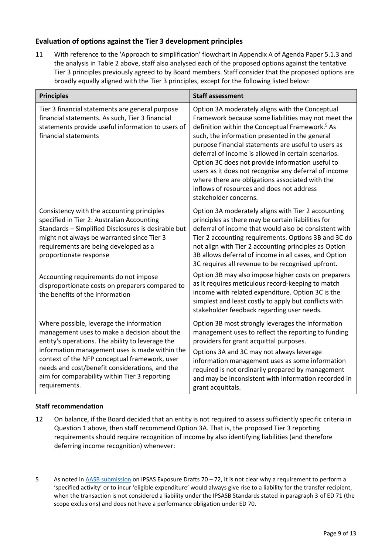# **Evaluation of options against the Tier 3 development principles**

<span id="page-8-0"></span>11 With reference to the 'Approach to simplification' flowchart in Appendix A of Agenda Paper 5.1.3 and the analysis in Table 2 above, staff also analysed each of the proposed options against the tentative Tier 3 principles previously agreed to by Board members. Staff consider that the proposed options are broadly equally aligned with the Tier 3 principles, except for the following listed below:

| <b>Principles</b>                                                                                                                                                                                                                                                                                                                                                   | <b>Staff assessment</b>                                                                                                                                                                                                                                                                                                                                                                                                                                                                                                                                                     |
|---------------------------------------------------------------------------------------------------------------------------------------------------------------------------------------------------------------------------------------------------------------------------------------------------------------------------------------------------------------------|-----------------------------------------------------------------------------------------------------------------------------------------------------------------------------------------------------------------------------------------------------------------------------------------------------------------------------------------------------------------------------------------------------------------------------------------------------------------------------------------------------------------------------------------------------------------------------|
| Tier 3 financial statements are general purpose<br>financial statements. As such, Tier 3 financial<br>statements provide useful information to users of<br>financial statements                                                                                                                                                                                     | Option 3A moderately aligns with the Conceptual<br>Framework because some liabilities may not meet the<br>definition within the Conceptual Framework. <sup>5</sup> As<br>such, the information presented in the general<br>purpose financial statements are useful to users as<br>deferral of income is allowed in certain scenarios.<br>Option 3C does not provide information useful to<br>users as it does not recognise any deferral of income<br>where there are obligations associated with the<br>inflows of resources and does not address<br>stakeholder concerns. |
| Consistency with the accounting principles<br>specified in Tier 2: Australian Accounting<br>Standards - Simplified Disclosures is desirable but<br>might not always be warranted since Tier 3<br>requirements are being developed as a<br>proportionate response                                                                                                    | Option 3A moderately aligns with Tier 2 accounting<br>principles as there may be certain liabilities for<br>deferral of income that would also be consistent with<br>Tier 2 accounting requirements. Options 3B and 3C do<br>not align with Tier 2 accounting principles as Option<br>3B allows deferral of income in all cases, and Option<br>3C requires all revenue to be recognised upfront.                                                                                                                                                                            |
| Accounting requirements do not impose<br>disproportionate costs on preparers compared to<br>the benefits of the information                                                                                                                                                                                                                                         | Option 3B may also impose higher costs on preparers<br>as it requires meticulous record-keeping to match<br>income with related expenditure. Option 3C is the<br>simplest and least costly to apply but conflicts with<br>stakeholder feedback regarding user needs.                                                                                                                                                                                                                                                                                                        |
| Where possible, leverage the information<br>management uses to make a decision about the<br>entity's operations. The ability to leverage the<br>information management uses is made within the<br>context of the NFP conceptual framework, user<br>needs and cost/benefit considerations, and the<br>aim for comparability within Tier 3 reporting<br>requirements. | Option 3B most strongly leverages the information<br>management uses to reflect the reporting to funding<br>providers for grant acquittal purposes.<br>Options 3A and 3C may not always leverage<br>information management uses as some information<br>required is not ordinarily prepared by management<br>and may be inconsistent with information recorded in<br>grant acquittals.                                                                                                                                                                                       |

# **Staff recommendation**

12 On balance, if the Board decided that an entity is not required to assess sufficiently specific criteria in Question 1 above, then staff recommend Option 3A. That is, the proposed Tier 3 reporting requirements should require recognition of income by also identifying liabilities (and therefore deferring income recognition) whenever:

<sup>5</sup> As noted in [AASB submission](https://www.aasb.gov.au/admin/file/content106/c2/AASBSubmission_IPSASB_EDs_RevenueAndTransferExpenses20202910.pdf) on IPSAS Exposure Drafts 70 – 72, it is not clear why a requirement to perform a 'specified activity' or to incur 'eligible expenditure' would always give rise to a liability for the transfer recipient, when the transaction is not considered a liability under the IPSASB Standards stated in paragraph 3 of ED 71 (the scope exclusions) and does not have a performance obligation under ED 70.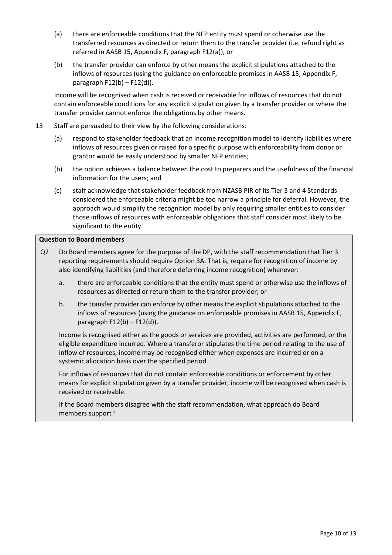- (a) there are enforceable conditions that the NFP entity must spend or otherwise use the transferred resources as directed or return them to the transfer provider (i.e. refund right as referred in AASB 15, Appendix F, paragraph F12(a)); or
- (b) the transfer provider can enforce by other means the explicit stipulations attached to the inflows of resources (using the guidance on enforceable promises in AASB 15, Appendix F, paragraph F12(b) – F12(d)).

Income will be recognised when cash is received or receivable for inflows of resources that do not contain enforceable conditions for any explicit stipulation given by a transfer provider or where the transfer provider cannot enforce the obligations by other means.

- <span id="page-9-0"></span>13 Staff are persuaded to their view by the following considerations:
	- (a) respond to stakeholder feedback that an income recognition model to identify liabilities where inflows of resources given or raised for a specific purpose with enforceability from donor or grantor would be easily understood by smaller NFP entities;
	- (b) the option achieves a balance between the cost to preparers and the usefulness of the financial information for the users; and
	- (c) staff acknowledge that stakeholder feedback from NZASB PIR of its Tier 3 and 4 Standards considered the enforceable criteria might be too narrow a principle for deferral. However, the approach would simplify the recognition model by only requiring smaller entities to consider those inflows of resources with enforceable obligations that staff consider most likely to be significant to the entity.

## **Question to Board members**

- Q2 Do Board members agree for the purpose of the DP, with the staff recommendation that Tier 3 reporting requirements should require Option 3A. That is, require for recognition of income by also identifying liabilities (and therefore deferring income recognition) whenever:
	- a. there are enforceable conditions that the entity must spend or otherwise use the inflows of resources as directed or return them to the transfer provider; or
	- b. the transfer provider can enforce by other means the explicit stipulations attached to the inflows of resources (using the guidance on enforceable promises in AASB 15, Appendix F, paragraph  $F12(b) - F12(d)$ ).

Income is recognised either as the goods or services are provided, activities are performed, or the eligible expenditure incurred. Where a transferor stipulates the time period relating to the use of inflow of resources, income may be recognised either when expenses are incurred or on a systemic allocation basis over the specified period

For inflows of resources that do not contain enforceable conditions or enforcement by other means for explicit stipulation given by a transfer provider, income will be recognised when cash is received or receivable.

If the Board members disagree with the staff recommendation, what approach do Board members support?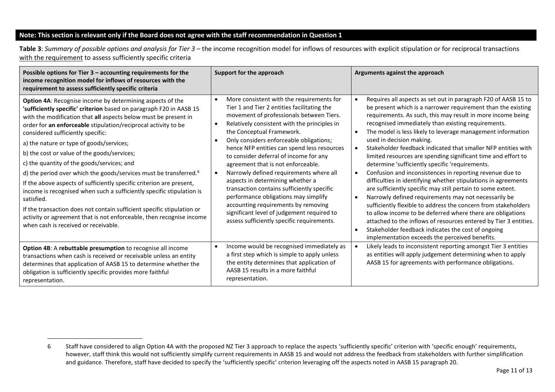### **Note: This section is relevant only if the Board does not agree with the staff recommendation in Question 1**

<span id="page-10-1"></span>**Table 3**: *Summary of possible options and analysis for Tier 3 –* the income recognition model for inflows of resources with explicit stipulation or for reciprocal transactions with the requirement to assess sufficiently specific criteria

| Possible options for Tier $3$ – accounting requirements for the<br>income recognition model for inflows of resources with the<br>requirement to assess sufficiently specific criteria                                                                                                                                                                                                                                                                                                                                                                                                                                                                                                                                                                                                                                                                                                         | Support for the approach                                                                                                                                                                                                                                                                                                                                                                                                                                                                                                                                                                                                                                                                                                                   | Arguments against the approach                                                                                                                                                                                                                                                                                                                                                                                                                                                                                                                                                                                                                                                                                                                                                                                                                                                                                                                                                                                                                                                                                                                                                     |
|-----------------------------------------------------------------------------------------------------------------------------------------------------------------------------------------------------------------------------------------------------------------------------------------------------------------------------------------------------------------------------------------------------------------------------------------------------------------------------------------------------------------------------------------------------------------------------------------------------------------------------------------------------------------------------------------------------------------------------------------------------------------------------------------------------------------------------------------------------------------------------------------------|--------------------------------------------------------------------------------------------------------------------------------------------------------------------------------------------------------------------------------------------------------------------------------------------------------------------------------------------------------------------------------------------------------------------------------------------------------------------------------------------------------------------------------------------------------------------------------------------------------------------------------------------------------------------------------------------------------------------------------------------|------------------------------------------------------------------------------------------------------------------------------------------------------------------------------------------------------------------------------------------------------------------------------------------------------------------------------------------------------------------------------------------------------------------------------------------------------------------------------------------------------------------------------------------------------------------------------------------------------------------------------------------------------------------------------------------------------------------------------------------------------------------------------------------------------------------------------------------------------------------------------------------------------------------------------------------------------------------------------------------------------------------------------------------------------------------------------------------------------------------------------------------------------------------------------------|
| Option 4A: Recognise income by determining aspects of the<br>'sufficiently specific' criterion based on paragraph F20 in AASB 15<br>with the modification that all aspects below must be present in<br>order for an enforceable stipulation/reciprocal activity to be<br>considered sufficiently specific:<br>a) the nature or type of goods/services;<br>b) the cost or value of the goods/services;<br>c) the quantity of the goods/services; and<br>d) the period over which the goods/services must be transferred. <sup>6</sup><br>If the above aspects of sufficiently specific criterion are present,<br>income is recognised when such a sufficiently specific stipulation is<br>satisfied.<br>If the transaction does not contain sufficient specific stipulation or<br>activity or agreement that is not enforceable, then recognise income<br>when cash is received or receivable. | More consistent with the requirements for<br>$\bullet$<br>Tier 1 and Tier 2 entities facilitating the<br>movement of professionals between Tiers.<br>Relatively consistent with the principles in<br>$\bullet$<br>the Conceptual Framework.<br>Only considers enforceable obligations;<br>hence NFP entities can spend less resources<br>to consider deferral of income for any<br>agreement that is not enforceable.<br>Narrowly defined requirements where all<br>$\bullet$<br>aspects in determining whether a<br>transaction contains sufficiently specific<br>performance obligations may simplify<br>accounting requirements by removing<br>significant level of judgement required to<br>assess sufficiently specific requirements. | Requires all aspects as set out in paragraph F20 of AASB 15 to<br>$\bullet$<br>be present which is a narrower requirement than the existing<br>requirements. As such, this may result in more income being<br>recognised immediately than existing requirements.<br>The model is less likely to leverage management information<br>$\bullet$<br>used in decision making.<br>Stakeholder feedback indicated that smaller NFP entities with<br>$\bullet$<br>limited resources are spending significant time and effort to<br>determine 'sufficiently specific 'requirements.<br>Confusion and inconsistences in reporting revenue due to<br>$\bullet$<br>difficulties in identifying whether stipulations in agreements<br>are sufficiently specific may still pertain to some extent.<br>Narrowly defined requirements may not necessarily be<br>$\bullet$<br>sufficiently flexible to address the concern from stakeholders<br>to allow income to be deferred where there are obligations<br>attached to the inflows of resources entered by Tier 3 entities.<br>Stakeholder feedback indicates the cost of ongoing<br>$\bullet$<br>implementation exceeds the perceived benefits. |
| Option 4B: A rebuttable presumption to recognise all income<br>transactions when cash is received or receivable unless an entity<br>determines that application of AASB 15 to determine whether the<br>obligation is sufficiently specific provides more faithful<br>representation.                                                                                                                                                                                                                                                                                                                                                                                                                                                                                                                                                                                                          | Income would be recognised immediately as<br>$\bullet$<br>a first step which is simple to apply unless<br>the entity determines that application of<br>AASB 15 results in a more faithful<br>representation.                                                                                                                                                                                                                                                                                                                                                                                                                                                                                                                               | Likely leads to inconsistent reporting amongst Tier 3 entities<br>as entities will apply judgement determining when to apply<br>AASB 15 for agreements with performance obligations.                                                                                                                                                                                                                                                                                                                                                                                                                                                                                                                                                                                                                                                                                                                                                                                                                                                                                                                                                                                               |

<span id="page-10-0"></span><sup>6</sup> Staff have considered to align Option 4A with the proposed NZ Tier 3 approach to replace the aspects 'sufficiently specific' criterion with 'specific enough' requirements, however, staff think this would not sufficiently simplify current requirements in AASB 15 and would not address the feedback from stakeholders with further simplification and guidance. Therefore, staff have decided to specify the 'sufficiently specific' criterion leveraging off the aspects noted in AASB 15 paragraph 20.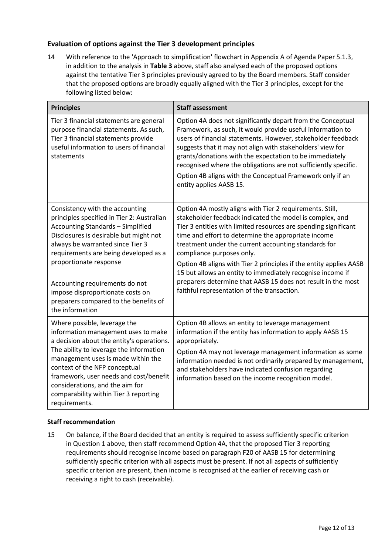# **Evaluation of options against the Tier 3 development principles**

<span id="page-11-0"></span>14 With reference to the 'Approach to simplification' flowchart in Appendix A of Agenda Paper 5.1.3, in addition to the analysis in **[Table 3](#page-10-0)** above, staff also analysed each of the proposed options against the tentative Tier 3 principles previously agreed to by the Board members. Staff consider that the proposed options are broadly equally aligned with the Tier 3 principles, except for the following listed below:

| <b>Principles</b>                                                                                                                                                                                                                                                                                                                                                                                            | <b>Staff assessment</b>                                                                                                                                                                                                                                                                                                                                                                                                                                                                                                                                                                |
|--------------------------------------------------------------------------------------------------------------------------------------------------------------------------------------------------------------------------------------------------------------------------------------------------------------------------------------------------------------------------------------------------------------|----------------------------------------------------------------------------------------------------------------------------------------------------------------------------------------------------------------------------------------------------------------------------------------------------------------------------------------------------------------------------------------------------------------------------------------------------------------------------------------------------------------------------------------------------------------------------------------|
| Tier 3 financial statements are general<br>purpose financial statements. As such,<br>Tier 3 financial statements provide<br>useful information to users of financial<br>statements                                                                                                                                                                                                                           | Option 4A does not significantly depart from the Conceptual<br>Framework, as such, it would provide useful information to<br>users of financial statements. However, stakeholder feedback<br>suggests that it may not align with stakeholders' view for<br>grants/donations with the expectation to be immediately<br>recognised where the obligations are not sufficiently specific.<br>Option 4B aligns with the Conceptual Framework only if an<br>entity applies AASB 15.                                                                                                          |
| Consistency with the accounting<br>principles specified in Tier 2: Australian<br><b>Accounting Standards - Simplified</b><br>Disclosures is desirable but might not<br>always be warranted since Tier 3<br>requirements are being developed as a<br>proportionate response<br>Accounting requirements do not<br>impose disproportionate costs on<br>preparers compared to the benefits of<br>the information | Option 4A mostly aligns with Tier 2 requirements. Still,<br>stakeholder feedback indicated the model is complex, and<br>Tier 3 entities with limited resources are spending significant<br>time and effort to determine the appropriate income<br>treatment under the current accounting standards for<br>compliance purposes only.<br>Option 4B aligns with Tier 2 principles if the entity applies AASB<br>15 but allows an entity to immediately recognise income if<br>preparers determine that AASB 15 does not result in the most<br>faithful representation of the transaction. |
| Where possible, leverage the<br>information management uses to make<br>a decision about the entity's operations.<br>The ability to leverage the information<br>management uses is made within the<br>context of the NFP conceptual<br>framework, user needs and cost/benefit<br>considerations, and the aim for<br>comparability within Tier 3 reporting<br>requirements.                                    | Option 4B allows an entity to leverage management<br>information if the entity has information to apply AASB 15<br>appropriately.<br>Option 4A may not leverage management information as some<br>information needed is not ordinarily prepared by management,<br>and stakeholders have indicated confusion regarding<br>information based on the income recognition model.                                                                                                                                                                                                            |

### **Staff recommendation**

15 On balance, if the Board decided that an entity is required to assess sufficiently specific criterion in Question 1 above, then staff recommend Option 4A, that the proposed Tier 3 reporting requirements should recognise income based on paragraph F20 of AASB 15 for determining sufficiently specific criterion with all aspects must be present. If not all aspects of sufficiently specific criterion are present, then income is recognised at the earlier of receiving cash or receiving a right to cash (receivable).